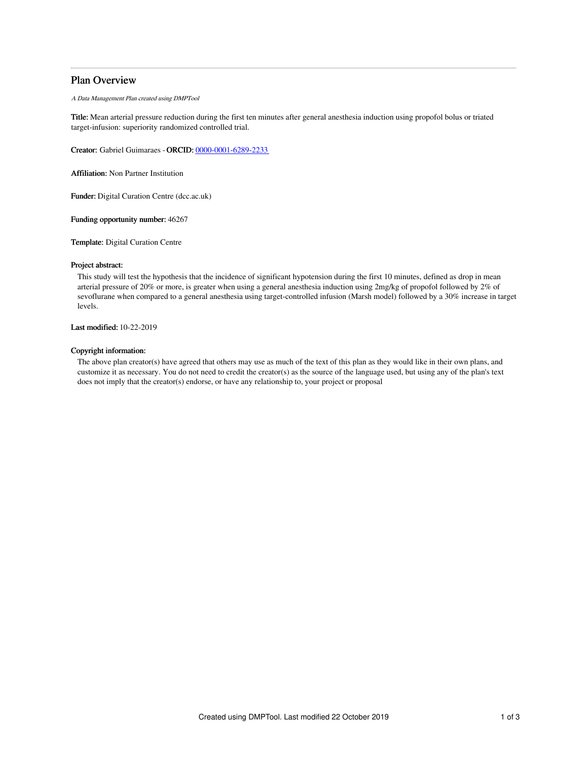# Plan Overview

A Data Management Plan created using DMPTool

Title: Mean arterial pressure reduction during the first ten minutes after general anesthesia induction using propofol bolus or triated target-infusion: superiority randomized controlled trial.

Creator: Gabriel Guimaraes -ORCID: [0000-0001-6289-2233](https://orcid.org/0000-0001-6289-2233)

Affiliation: Non Partner Institution

Funder: Digital Curation Centre (dcc.ac.uk)

Funding opportunity number: 46267

Template: Digital Curation Centre

### Project abstract:

This study will test the hypothesis that the incidence of significant hypotension during the first 10 minutes, defined as drop in mean arterial pressure of 20% or more, is greater when using a general anesthesia induction using 2mg/kg of propofol followed by 2% of sevoflurane when compared to a general anesthesia using target-controlled infusion (Marsh model) followed by a 30% increase in target levels.

Last modified: 10-22-2019

### Copyright information:

The above plan creator(s) have agreed that others may use as much of the text of this plan as they would like in their own plans, and customize it as necessary. You do not need to credit the creator(s) as the source of the language used, but using any of the plan's text does not imply that the creator(s) endorse, or have any relationship to, your project or proposal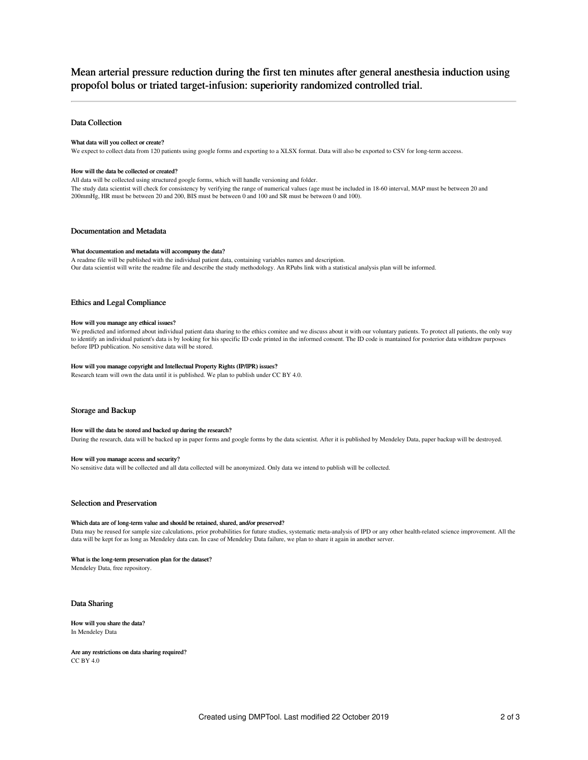# Mean arterial pressure reduction during the first ten minutes after general anesthesia induction using propofol bolus or triated target-infusion: superiority randomized controlled trial.

### Data Collection

#### What data will you collect or create?

We expect to collect data from 120 patients using google forms and exporting to a XLSX format. Data will also be exported to CSV for long-term acceess.

#### How will the data be collected or created?

All data will be collected using structured google forms, which will handle versioning and folder. The study data scientist will check for consistency by verifying the range of numerical values (age must be included in 18-60 interval, MAP must be between 20 and 200mmHg, HR must be between 20 and 200, BIS must be between 0 and 100 and SR must be between 0 and 100).

### Documentation and Metadata

#### What documentation and metadata will accompany the data?

A readme file will be published with the individual patient data, containing variables names and description. Our data scientist will write the readme file and describe the study methodology. An RPubs link with a statistical analysis plan will be informed.

### Ethics and Legal Compliance

#### How will you manage any ethical issues?

We predicted and informed about individual patient data sharing to the ethics comitee and we discuss about it with our voluntary patients. To protect all patients, the only way to identify an individual patient's data is by looking for his specific ID code printed in the informed consent. The ID code is mantained for posterior data withdraw purposes before IPD publication. No sensitive data will be stored.

#### How will you manage copyright and Intellectual Property Rights (IP/IPR) issues?

Research team will own the data until it is published. We plan to publish under CC BY 4.0.

### Storage and Backup

#### How will the data be stored and backed up during the research?

During the research, data will be backed up in paper forms and google forms by the data scientist. After it is published by Mendeley Data, paper backup will be destroyed.

#### How will you manage access and security?

No sensitive data will be collected and all data collected will be anonymized. Only data we intend to publish will be collected.

#### Selection and Preservation

#### Which data are of long-term value and should be retained, shared, and/or preserved?

Data may be reused for sample size calculations, prior probabilities for future studies, systematic meta-analysis of IPD or any other health-related science improvement. All the data will be kept for as long as Mendeley data can. In case of Mendeley Data failure, we plan to share it again in another server.

### What is the long-term preservation plan for the dataset?

Mendeley Data, free repository.

### Data Sharing

#### How will you share the data? In Mendeley Data

Are any restrictions on data sharing required? CC BY 4.0